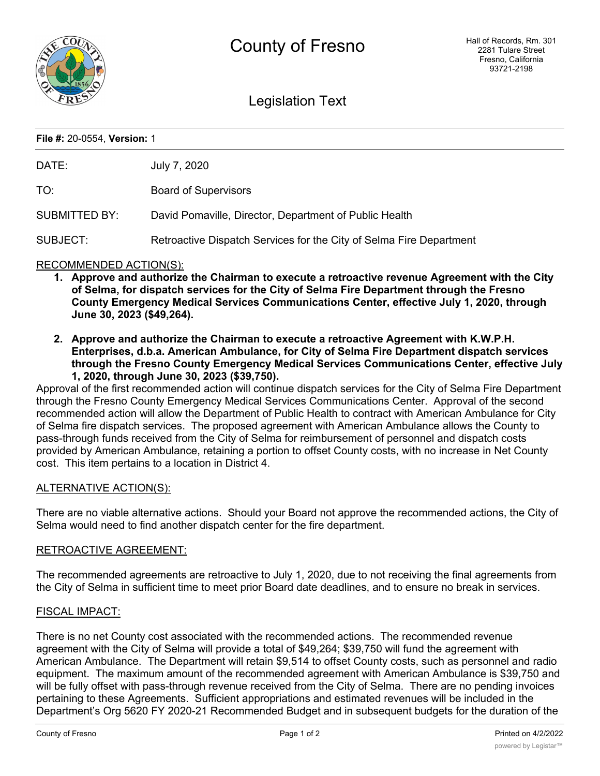

# Legislation Text

#### **File #:** 20-0554, **Version:** 1

| DATE: | July 7, 2020 |
|-------|--------------|
|       |              |

TO: Board of Supervisors

SUBMITTED BY: David Pomaville, Director, Department of Public Health

SUBJECT: Retroactive Dispatch Services for the City of Selma Fire Department

## RECOMMENDED ACTION(S):

- **1. Approve and authorize the Chairman to execute a retroactive revenue Agreement with the City of Selma, for dispatch services for the City of Selma Fire Department through the Fresno County Emergency Medical Services Communications Center, effective July 1, 2020, through June 30, 2023 (\$49,264).**
- **2. Approve and authorize the Chairman to execute a retroactive Agreement with K.W.P.H. Enterprises, d.b.a. American Ambulance, for City of Selma Fire Department dispatch services through the Fresno County Emergency Medical Services Communications Center, effective July 1, 2020, through June 30, 2023 (\$39,750).**

Approval of the first recommended action will continue dispatch services for the City of Selma Fire Department through the Fresno County Emergency Medical Services Communications Center. Approval of the second recommended action will allow the Department of Public Health to contract with American Ambulance for City of Selma fire dispatch services. The proposed agreement with American Ambulance allows the County to pass-through funds received from the City of Selma for reimbursement of personnel and dispatch costs provided by American Ambulance, retaining a portion to offset County costs, with no increase in Net County cost. This item pertains to a location in District 4.

## ALTERNATIVE ACTION(S):

There are no viable alternative actions. Should your Board not approve the recommended actions, the City of Selma would need to find another dispatch center for the fire department.

## RETROACTIVE AGREEMENT:

The recommended agreements are retroactive to July 1, 2020, due to not receiving the final agreements from the City of Selma in sufficient time to meet prior Board date deadlines, and to ensure no break in services.

#### FISCAL IMPACT:

There is no net County cost associated with the recommended actions. The recommended revenue agreement with the City of Selma will provide a total of \$49,264; \$39,750 will fund the agreement with American Ambulance. The Department will retain \$9,514 to offset County costs, such as personnel and radio equipment. The maximum amount of the recommended agreement with American Ambulance is \$39,750 and will be fully offset with pass-through revenue received from the City of Selma. There are no pending invoices pertaining to these Agreements. Sufficient appropriations and estimated revenues will be included in the Department's Org 5620 FY 2020-21 Recommended Budget and in subsequent budgets for the duration of the